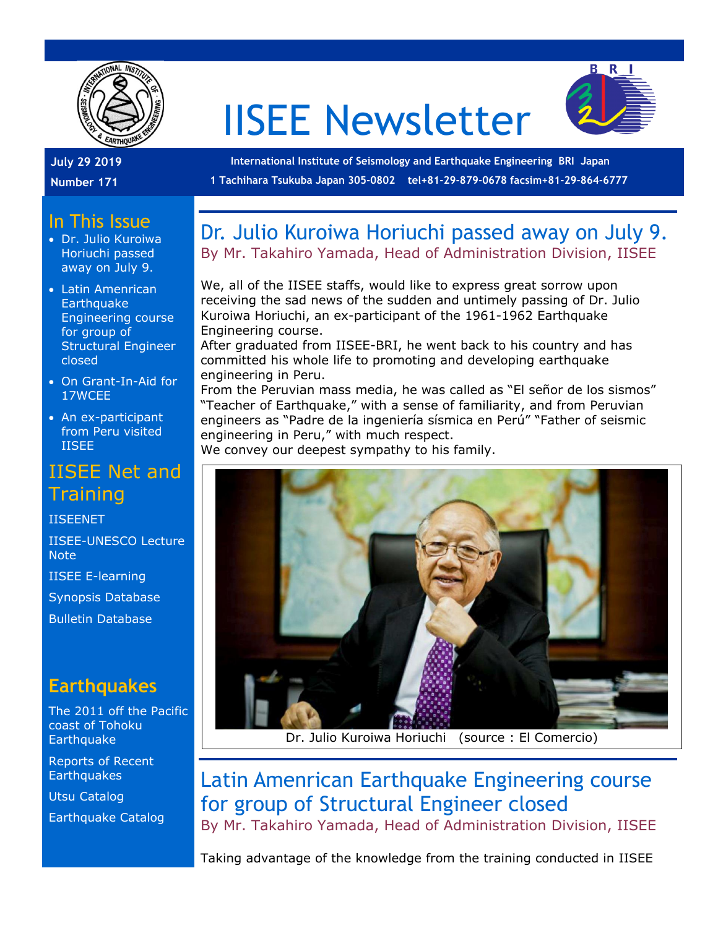

# IISEE Newsletter



**July 29 2019**

**Number 171**

**International Institute of Seismology and Earthquake Engineering BRI Japan 1 Tachihara Tsukuba Japan 305-0802 tel+81-29-879-0678 facsim+81-29-864-6777**

#### In This Issue

- Dr. Julio Kuroiwa Horiuchi passed away on July 9.
- Latin Amenrican **Earthquake** Engineering course for group of Structural Engineer closed
- On Grant-In-Aid for 17WCEE
- An ex-participant from Peru visited IISEE

#### IISEE Net and **Training**

[IISEENET](http://iisee.kenken.go.jp/net/)

[IISEE-UNESCO Lecture](http://iisee/lna/)  **[Note](http://iisee/lna/)** 

[IISEE E-learning](http://iisee/el/) [Synopsis Database](http://iisee/syndb/) [Bulletin Database](http://iisee/bltndb/)

#### **Earthquakes**

[The 2011 off the Pacific](http://iisee/special2/20110311tohoku.htm)  [coast of Tohoku](http://iisee/special2/20110311tohoku.htm)  **[Earthquake](http://iisee/special2/20110311tohoku.htm)** 

[Reports of Recent](http://iisee/quakes.htm)  **[Earthquakes](http://iisee/quakes.htm)** 

[Utsu Catalog](http://iisee/utsu/index_eng.html)

[Earthquake Catalog](http://iisee/eqcat/Top_page_en.htm)

#### Dr. Julio Kuroiwa Horiuchi passed away on July 9. By Mr. Takahiro Yamada, Head of Administration Division, IISEE

We, all of the IISEE staffs, would like to express great sorrow upon receiving the sad news of the sudden and untimely passing of Dr. Julio Kuroiwa Horiuchi, an ex-participant of the 1961-1962 Earthquake Engineering course.

After graduated from IISEE-BRI, he went back to his country and has committed his whole life to promoting and developing earthquake engineering in Peru.

From the Peruvian mass media, he was called as "El señor de los sismos" "Teacher of Earthquake," with a sense of familiarity, and from Peruvian engineers as "Padre de la ingeniería sísmica en Perú" "Father of seismic engineering in Peru," with much respect.

We convey our deepest sympathy to his family.



Dr. Julio Kuroiwa Horiuchi (source : El Comercio)

### Latin Amenrican Earthquake Engineering course for group of Structural Engineer closed

By Mr. Takahiro Yamada, Head of Administration Division, IISEE

Taking advantage of the knowledge from the training conducted in IISEE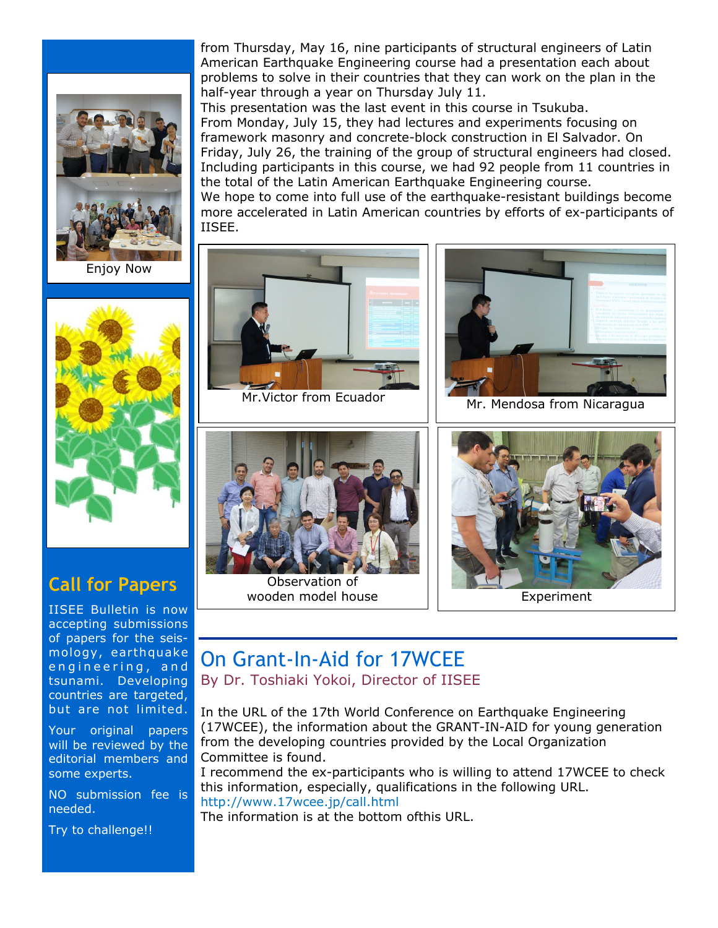

Enjoy Now



#### **Call for Papers**

IISEE Bulletin is now accepting submissions of papers for the seismology, earthquake engineering, and tsunami. Developing countries are targeted, but are not limited.

Your original papers will be reviewed by the editorial members and some experts.

NO submission fee is needed.

Try to challenge!!

from Thursday, May 16, nine participants of structural engineers of Latin American Earthquake Engineering course had a presentation each about problems to solve in their countries that they can work on the plan in the half-year through a year on Thursday July 11.

This presentation was the last event in this course in Tsukuba. From Monday, July 15, they had lectures and experiments focusing on framework masonry and concrete-block construction in El Salvador. On Friday, July 26, the training of the group of structural engineers had closed. Including participants in this course, we had 92 people from 11 countries in the total of the Latin American Earthquake Engineering course. We hope to come into full use of the earthquake-resistant buildings become more accelerated in Latin American countries by efforts of ex-participants of IISEE.



Observation of wooden model house Table 1 and Experiment

## On Grant-In-Aid for 17WCEE

By Dr. Toshiaki Yokoi, Director of IISEE

In the URL of the 17th World Conference on Earthquake Engineering (17WCEE), the information about the GRANT-IN-AID for young generation from the developing countries provided by the Local Organization Committee is found.

I recommend the ex-participants who is willing to attend 17WCEE to check this information, especially, qualifications in the following URL. http://www.17wcee.jp/call.html

The information is at the bottom ofthis URL.